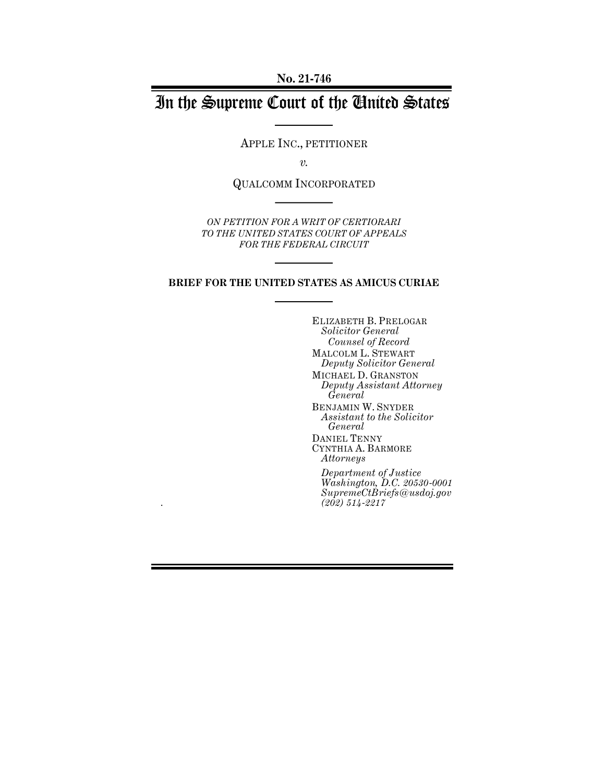**No. 21-746**

# In the Supreme Court of the United States

APPLE INC., PETITIONER

*v.*

QUALCOMM INCORPORATED

*ON PETITION FOR A WRIT OF CERTIORARI TO THE UNITED STATES COURT OF APPEALS FOR THE FEDERAL CIRCUIT*

#### **BRIEF FOR THE UNITED STATES AS AMICUS CURIAE**

*.*

ELIZABETH B. PRELOGAR *Solicitor General Counsel of Record* MALCOLM L. STEWART *Deputy Solicitor General* MICHAEL D. GRANSTON *Deputy Assistant Attorney General* BENJAMIN W. SNYDER *Assistant to the Solicitor General* DANIEL TENNY CYNTHIA A. BARMORE *Attorneys Department of Justice*

*Washington, D.C. 20530-0001 SupremeCtBriefs@usdoj.gov (202) 514-2217*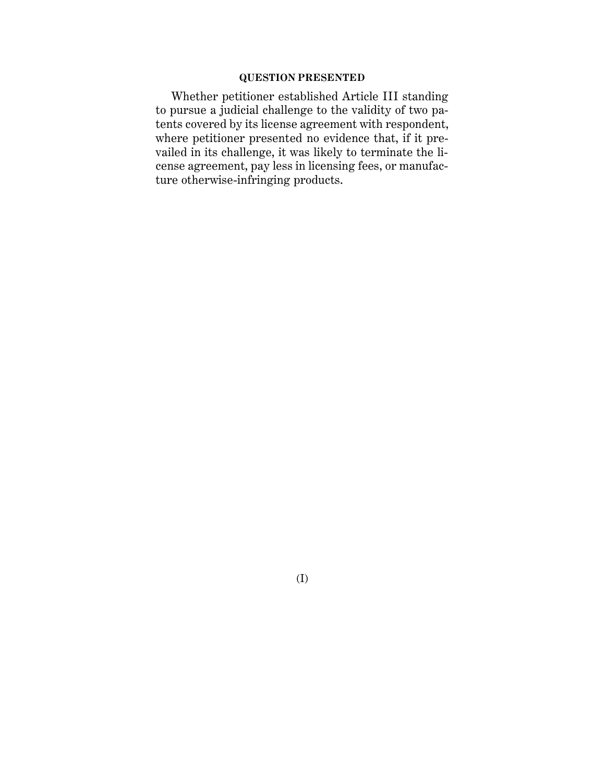### **QUESTION PRESENTED**

Whether petitioner established Article III standing to pursue a judicial challenge to the validity of two patents covered by its license agreement with respondent, where petitioner presented no evidence that, if it prevailed in its challenge, it was likely to terminate the license agreement, pay less in licensing fees, or manufacture otherwise-infringing products.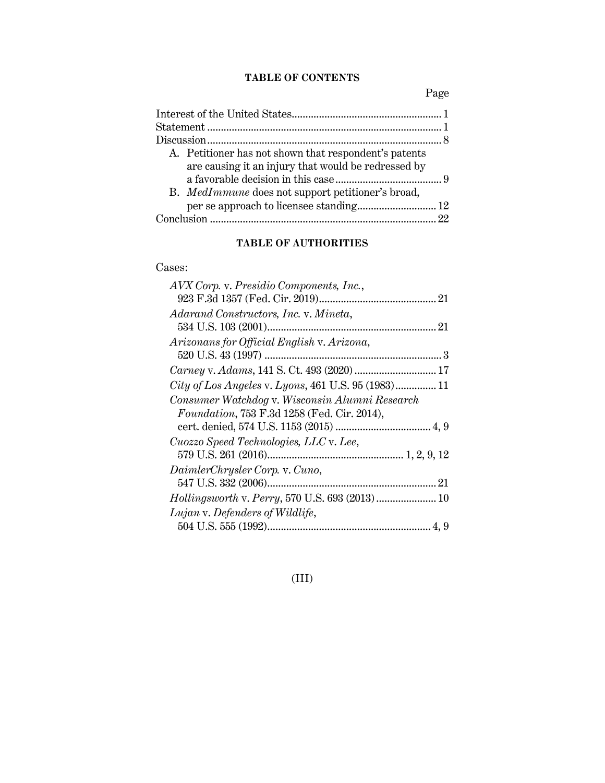### **TABLE OF CONTENTS**

Page

| A. Petitioner has not shown that respondent's patents |  |
|-------------------------------------------------------|--|
| are causing it an injury that would be redressed by   |  |
|                                                       |  |
| B. MedImmune does not support petitioner's broad,     |  |
|                                                       |  |
|                                                       |  |
|                                                       |  |

# **TABLE OF AUTHORITIES**

## Cases:

# (III)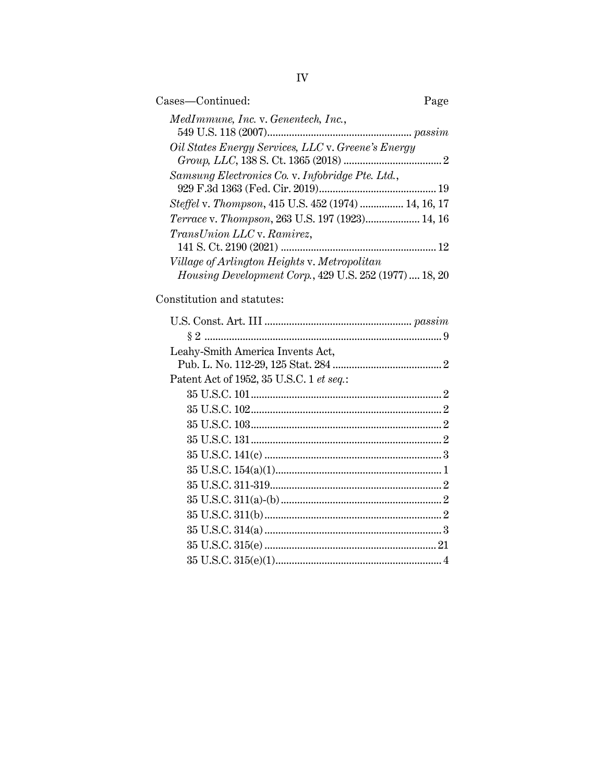| Cases—Continued:                                               | Page |
|----------------------------------------------------------------|------|
| MedImmune, Inc. v. Genentech, Inc.,                            |      |
|                                                                |      |
| Oil States Energy Services, LLC v. Greene's Energy             |      |
|                                                                |      |
| Samsung Electronics Co. v. Infobridge Pte. Ltd.,               |      |
|                                                                |      |
| Steffel v. Thompson, 415 U.S. 452 (1974)  14, 16, 17           |      |
| Terrace v. Thompson, 263 U.S. 197 (1923) 14, 16                |      |
| TransUnion LLC v. Ramirez,                                     |      |
|                                                                |      |
| Village of Arlington Heights v. Metropolitan                   |      |
| <i>Housing Development Corp.</i> , 429 U.S. 252 (1977)  18, 20 |      |

Constitution and statutes:

| Leahy-Smith America Invents Act,         |  |
|------------------------------------------|--|
|                                          |  |
| Patent Act of 1952, 35 U.S.C. 1 et seq.: |  |
|                                          |  |
|                                          |  |
|                                          |  |
|                                          |  |
|                                          |  |
|                                          |  |
|                                          |  |
|                                          |  |
|                                          |  |
|                                          |  |
|                                          |  |
|                                          |  |
|                                          |  |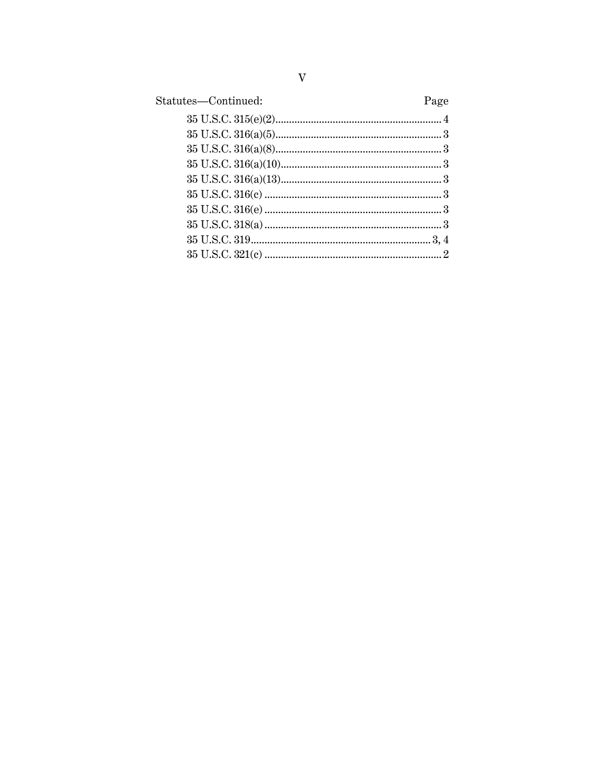| Page |
|------|
|      |
|      |
|      |
|      |
|      |
|      |
|      |
|      |
|      |
|      |
|      |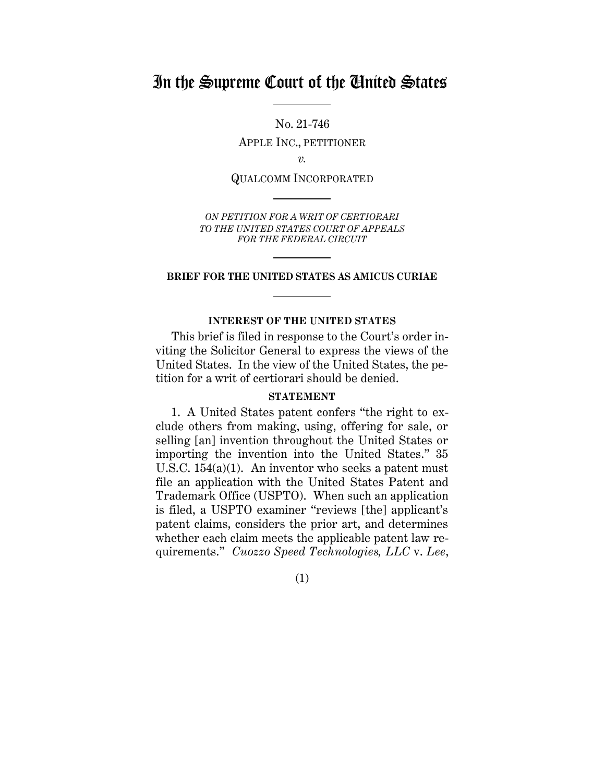# In the Supreme Court of the United States

No. 21-746

APPLE INC., PETITIONER

*v.*

QUALCOMM INCORPORATED

*ON PETITION FOR A WRIT OF CERTIORARI TO THE UNITED STATES COURT OF APPEALS FOR THE FEDERAL CIRCUIT*

#### **BRIEF FOR THE UNITED STATES AS AMICUS CURIAE**

#### **INTEREST OF THE UNITED STATES**

<span id="page-5-0"></span>This brief is filed in response to the Court's order inviting the Solicitor General to express the views of the United States. In the view of the United States, the petition for a writ of certiorari should be denied.

#### **STATEMENT**

<span id="page-5-1"></span>1. A United States patent confers "the right to exclude others from making, using, offering for sale, or selling [an] invention throughout the United States or importing the invention into the United States." 35 U.S.C. 154(a)(1). An inventor who seeks a patent must file an application with the United States Patent and Trademark Office (USPTO). When such an application is filed, a USPTO examiner "reviews [the] applicant's patent claims, considers the prior art, and determines whether each claim meets the applicable patent law requirements." *Cuozzo Speed Technologies, LLC* v. *Lee*,

(1)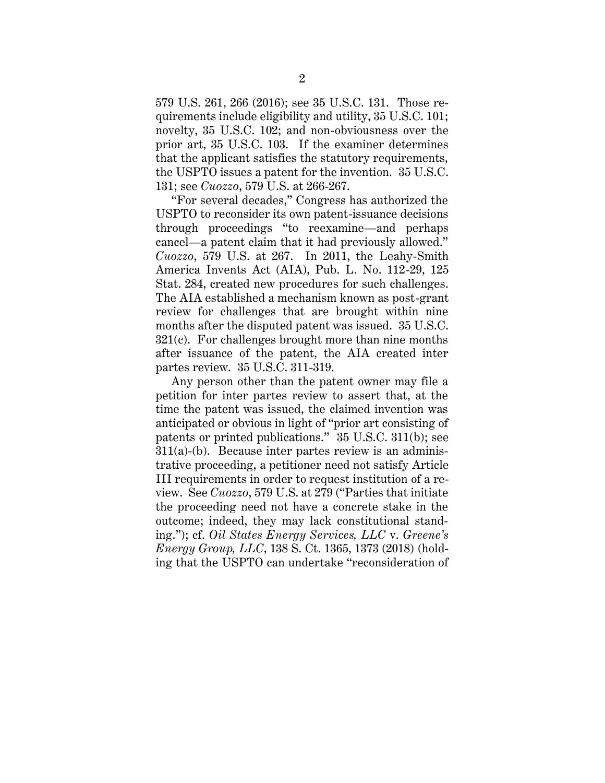579 U.S. 261, 266 (2016); see 35 U.S.C. 131. Those requirements include eligibility and utility, 35 U.S.C. 101; novelty, 35 U.S.C. 102; and non-obviousness over the prior art, 35 U.S.C. 103. If the examiner determines that the applicant satisfies the statutory requirements, the USPTO issues a patent for the invention. 35 U.S.C. 131; see *Cuozzo*, 579 U.S. at 266-267.

"For several decades," Congress has authorized the USPTO to reconsider its own patent-issuance decisions through proceedings "to reexamine—and perhaps cancel—a patent claim that it had previously allowed." *Cuozzo*, 579 U.S. at 267. In 2011, the Leahy-Smith America Invents Act (AIA), Pub. L. No. 112-29, 125 Stat. 284, created new procedures for such challenges. The AIA established a mechanism known as post-grant review for challenges that are brought within nine months after the disputed patent was issued. 35 U.S.C. 321(c). For challenges brought more than nine months after issuance of the patent, the AIA created inter partes review. 35 U.S.C. 311-319.

Any person other than the patent owner may file a petition for inter partes review to assert that, at the time the patent was issued, the claimed invention was anticipated or obvious in light of "prior art consisting of patents or printed publications." 35 U.S.C. 311(b); see 311(a)-(b). Because inter partes review is an administrative proceeding, a petitioner need not satisfy Article III requirements in order to request institution of a review. See *Cuozzo*, 579 U.S. at 279 ("Parties that initiate the proceeding need not have a concrete stake in the outcome; indeed, they may lack constitutional standing."); cf. *Oil States Energy Services, LLC* v. *Greene's Energy Group, LLC*, 138 S. Ct. 1365, 1373 (2018) (holding that the USPTO can undertake "reconsideration of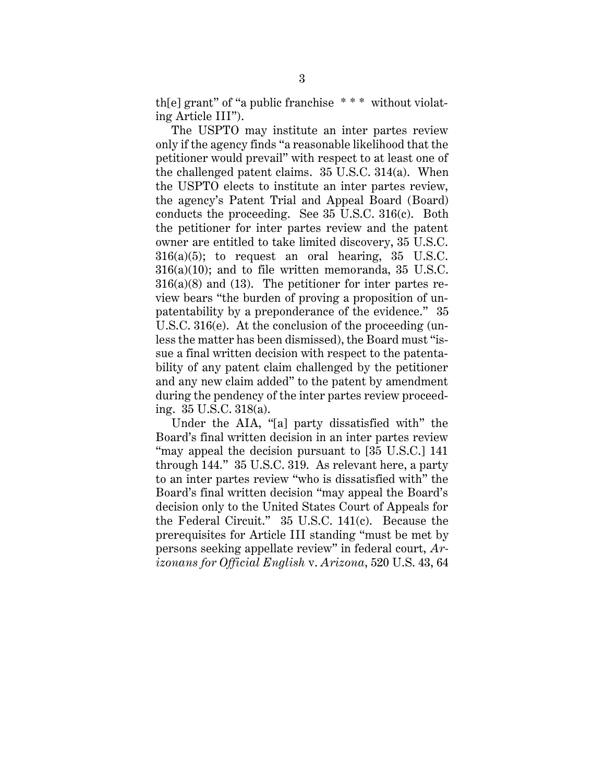th[e] grant" of "a public franchise \* \* \* without violating Article III").

The USPTO may institute an inter partes review only if the agency finds "a reasonable likelihood that the petitioner would prevail" with respect to at least one of the challenged patent claims. 35 U.S.C. 314(a). When the USPTO elects to institute an inter partes review, the agency's Patent Trial and Appeal Board (Board) conducts the proceeding. See 35 U.S.C. 316(c). Both the petitioner for inter partes review and the patent owner are entitled to take limited discovery, 35 U.S.C.  $316(a)(5)$ ; to request an oral hearing, 35 U.S.C. 316(a)(10); and to file written memoranda, 35 U.S.C.  $316(a)(8)$  and  $(13)$ . The petitioner for inter partes review bears "the burden of proving a proposition of unpatentability by a preponderance of the evidence." 35 U.S.C. 316(e). At the conclusion of the proceeding (unless the matter has been dismissed), the Board must "issue a final written decision with respect to the patentability of any patent claim challenged by the petitioner and any new claim added" to the patent by amendment during the pendency of the inter partes review proceeding. 35 U.S.C. 318(a).

Under the AIA, "[a] party dissatisfied with" the Board's final written decision in an inter partes review "may appeal the decision pursuant to [35 U.S.C.] 141 through 144." 35 U.S.C. 319. As relevant here, a party to an inter partes review "who is dissatisfied with" the Board's final written decision "may appeal the Board's decision only to the United States Court of Appeals for the Federal Circuit." 35 U.S.C. 141(c). Because the prerequisites for Article III standing "must be met by persons seeking appellate review" in federal court, *Arizonans for Official English* v. *Arizona*, 520 U.S. 43, 64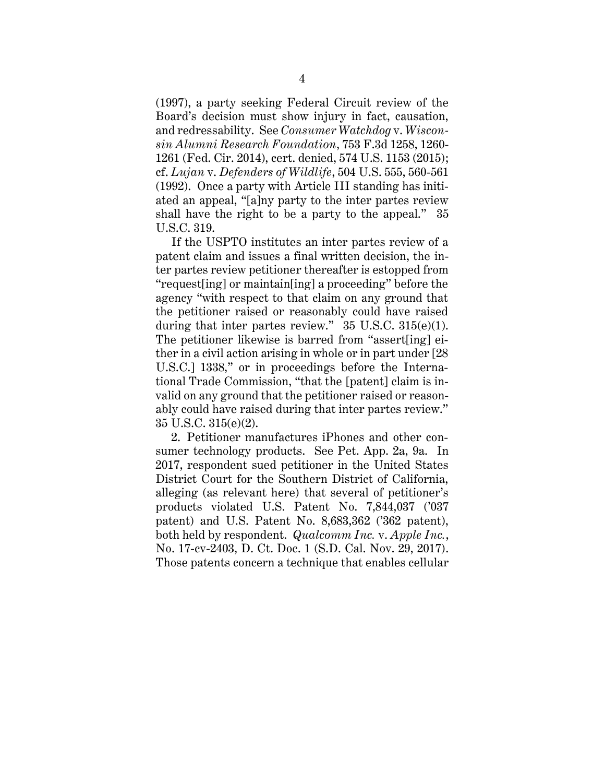(1997), a party seeking Federal Circuit review of the Board's decision must show injury in fact, causation, and redressability. See *Consumer Watchdog* v. *Wisconsin Alumni Research Foundation*, 753 F.3d 1258, 1260- 1261 (Fed. Cir. 2014), cert. denied, 574 U.S. 1153 (2015); cf. *Lujan* v. *Defenders of Wildlife*, 504 U.S. 555, 560-561 (1992). Once a party with Article III standing has initiated an appeal, "[a]ny party to the inter partes review shall have the right to be a party to the appeal." 35 U.S.C. 319.

If the USPTO institutes an inter partes review of a patent claim and issues a final written decision, the inter partes review petitioner thereafter is estopped from "request[ing] or maintain[ing] a proceeding" before the agency "with respect to that claim on any ground that the petitioner raised or reasonably could have raised during that inter partes review."  $35 \text{ U.S.C. } 315(e)(1)$ . The petitioner likewise is barred from "assert[ing] either in a civil action arising in whole or in part under [28 U.S.C.] 1338," or in proceedings before the International Trade Commission, "that the [patent] claim is invalid on any ground that the petitioner raised or reasonably could have raised during that inter partes review." 35 U.S.C. 315(e)(2).

2. Petitioner manufactures iPhones and other consumer technology products. See Pet. App. 2a, 9a. In 2017, respondent sued petitioner in the United States District Court for the Southern District of California, alleging (as relevant here) that several of petitioner's products violated U.S. Patent No. 7,844,037 ('037 patent) and U.S. Patent No. 8,683,362 ('362 patent), both held by respondent. *Qualcomm Inc.* v. *Apple Inc.*, No. 17-cv-2403, D. Ct. Doc. 1 (S.D. Cal. Nov. 29, 2017). Those patents concern a technique that enables cellular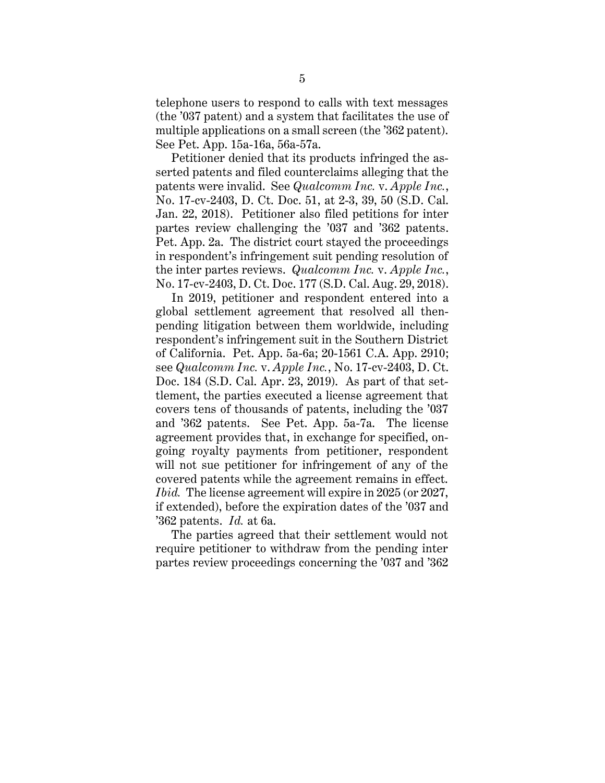telephone users to respond to calls with text messages (the '037 patent) and a system that facilitates the use of multiple applications on a small screen (the '362 patent). See Pet. App. 15a-16a, 56a-57a.

Petitioner denied that its products infringed the asserted patents and filed counterclaims alleging that the patents were invalid. See *Qualcomm Inc.* v. *Apple Inc.*, No. 17-cv-2403, D. Ct. Doc. 51, at 2-3, 39, 50 (S.D. Cal. Jan. 22, 2018). Petitioner also filed petitions for inter partes review challenging the '037 and '362 patents. Pet. App. 2a. The district court stayed the proceedings in respondent's infringement suit pending resolution of the inter partes reviews. *Qualcomm Inc.* v. *Apple Inc.*, No. 17-cv-2403, D. Ct. Doc. 177 (S.D. Cal. Aug. 29, 2018).

In 2019, petitioner and respondent entered into a global settlement agreement that resolved all thenpending litigation between them worldwide, including respondent's infringement suit in the Southern District of California. Pet. App. 5a-6a; 20-1561 C.A. App. 2910; see *Qualcomm Inc.* v. *Apple Inc.*, No. 17-cv-2403, D. Ct. Doc. 184 (S.D. Cal. Apr. 23, 2019). As part of that settlement, the parties executed a license agreement that covers tens of thousands of patents, including the '037 and '362 patents. See Pet. App. 5a-7a. The license agreement provides that, in exchange for specified, ongoing royalty payments from petitioner, respondent will not sue petitioner for infringement of any of the covered patents while the agreement remains in effect. *Ibid.* The license agreement will expire in 2025 (or 2027, if extended), before the expiration dates of the '037 and '362 patents. *Id.* at 6a.

The parties agreed that their settlement would not require petitioner to withdraw from the pending inter partes review proceedings concerning the '037 and '362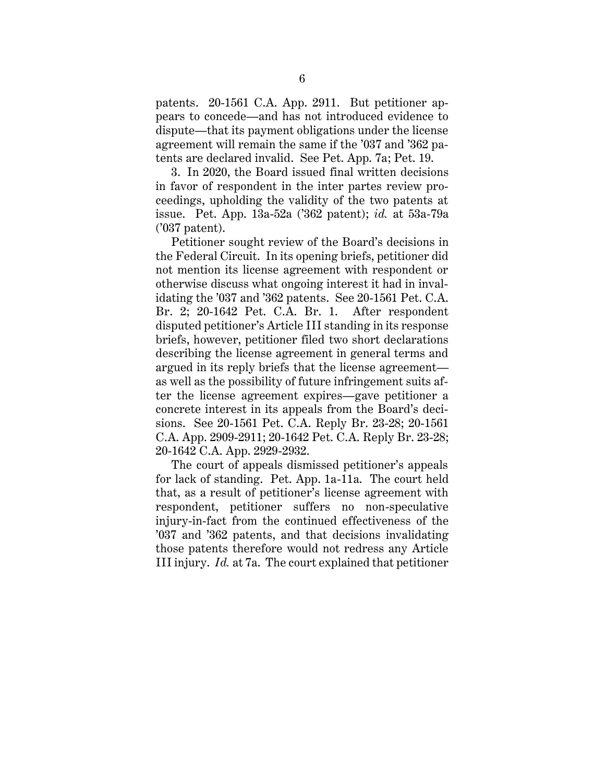patents. 20-1561 C.A. App. 2911. But petitioner appears to concede—and has not introduced evidence to dispute—that its payment obligations under the license agreement will remain the same if the '037 and '362 patents are declared invalid. See Pet. App. 7a; Pet. 19.

3. In 2020, the Board issued final written decisions in favor of respondent in the inter partes review proceedings, upholding the validity of the two patents at issue. Pet. App. 13a-52a ('362 patent); *id.* at 53a-79a ('037 patent).

Petitioner sought review of the Board's decisions in the Federal Circuit. In its opening briefs, petitioner did not mention its license agreement with respondent or otherwise discuss what ongoing interest it had in invalidating the '037 and '362 patents. See 20-1561 Pet. C.A. Br. 2; 20-1642 Pet. C.A. Br. 1. After respondent disputed petitioner's Article III standing in its response briefs, however, petitioner filed two short declarations describing the license agreement in general terms and argued in its reply briefs that the license agreement as well as the possibility of future infringement suits after the license agreement expires—gave petitioner a concrete interest in its appeals from the Board's decisions. See 20-1561 Pet. C.A. Reply Br. 23-28; 20-1561 C.A. App. 2909-2911; 20-1642 Pet. C.A. Reply Br. 23-28; 20-1642 C.A. App. 2929-2932.

The court of appeals dismissed petitioner's appeals for lack of standing. Pet. App. 1a-11a. The court held that, as a result of petitioner's license agreement with respondent, petitioner suffers no non-speculative injury-in-fact from the continued effectiveness of the '037 and '362 patents, and that decisions invalidating those patents therefore would not redress any Article III injury. *Id.* at 7a. The court explained that petitioner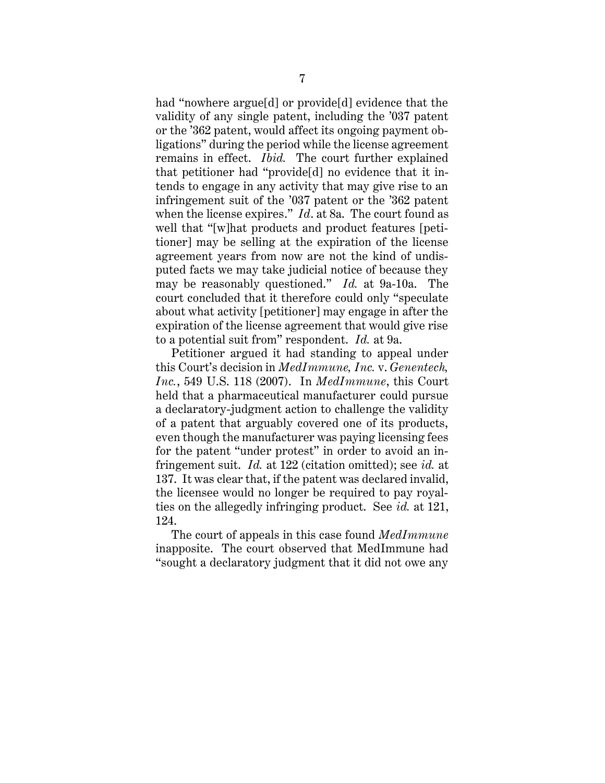had "nowhere argue[d] or provide[d] evidence that the validity of any single patent, including the '037 patent or the '362 patent, would affect its ongoing payment obligations" during the period while the license agreement remains in effect. *Ibid.* The court further explained that petitioner had "provide[d] no evidence that it intends to engage in any activity that may give rise to an infringement suit of the '037 patent or the '362 patent when the license expires." *Id*. at 8a. The court found as well that "[w]hat products and product features [petitioner] may be selling at the expiration of the license agreement years from now are not the kind of undisputed facts we may take judicial notice of because they may be reasonably questioned." *Id.* at 9a-10a. The court concluded that it therefore could only "speculate about what activity [petitioner] may engage in after the expiration of the license agreement that would give rise to a potential suit from" respondent. *Id.* at 9a.

Petitioner argued it had standing to appeal under this Court's decision in *MedImmune, Inc.* v. *Genentech, Inc.*, 549 U.S. 118 (2007). In *MedImmune*, this Court held that a pharmaceutical manufacturer could pursue a declaratory-judgment action to challenge the validity of a patent that arguably covered one of its products, even though the manufacturer was paying licensing fees for the patent "under protest" in order to avoid an infringement suit. *Id.* at 122 (citation omitted); see *id.* at 137. It was clear that, if the patent was declared invalid, the licensee would no longer be required to pay royalties on the allegedly infringing product. See *id.* at 121, 124.

The court of appeals in this case found *MedImmune* inapposite. The court observed that MedImmune had "sought a declaratory judgment that it did not owe any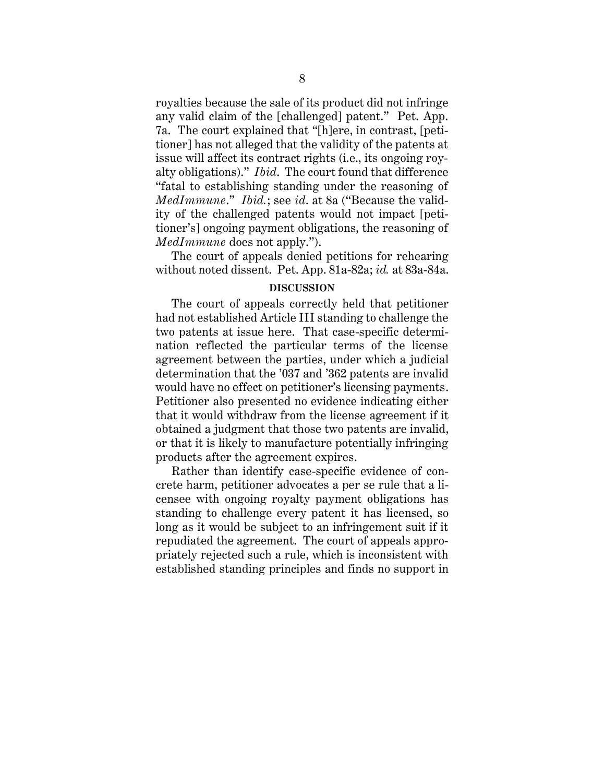royalties because the sale of its product did not infringe any valid claim of the [challenged] patent." Pet. App. 7a. The court explained that "[h]ere, in contrast, [petitioner] has not alleged that the validity of the patents at issue will affect its contract rights (i.e., its ongoing royalty obligations)." *Ibid*. The court found that difference "fatal to establishing standing under the reasoning of *MedImmune*." *Ibid.*; see *id*. at 8a ("Because the validity of the challenged patents would not impact [petitioner's] ongoing payment obligations, the reasoning of *MedImmune* does not apply.").

The court of appeals denied petitions for rehearing without noted dissent. Pet. App. 81a-82a; *id.* at 83a-84a.

#### **DISCUSSION**

<span id="page-12-0"></span>The court of appeals correctly held that petitioner had not established Article III standing to challenge the two patents at issue here. That case-specific determination reflected the particular terms of the license agreement between the parties, under which a judicial determination that the '037 and '362 patents are invalid would have no effect on petitioner's licensing payments. Petitioner also presented no evidence indicating either that it would withdraw from the license agreement if it obtained a judgment that those two patents are invalid, or that it is likely to manufacture potentially infringing products after the agreement expires.

Rather than identify case-specific evidence of concrete harm, petitioner advocates a per se rule that a licensee with ongoing royalty payment obligations has standing to challenge every patent it has licensed, so long as it would be subject to an infringement suit if it repudiated the agreement. The court of appeals appropriately rejected such a rule, which is inconsistent with established standing principles and finds no support in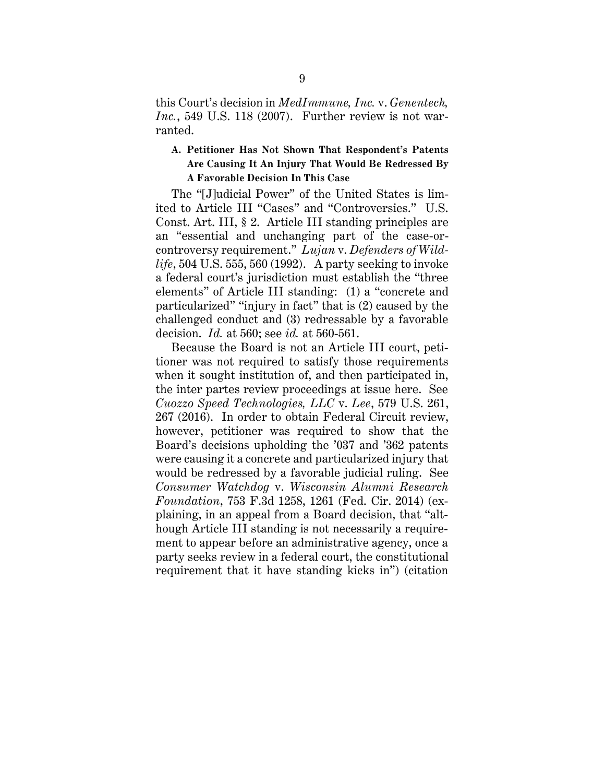this Court's decision in *MedImmune, Inc.* v. *Genentech, Inc.*, 549 U.S. 118 (2007). Further review is not warranted.

### <span id="page-13-0"></span>**A. Petitioner Has Not Shown That Respondent's Patents Are Causing It An Injury That Would Be Redressed By A Favorable Decision In This Case**

The "[J]udicial Power" of the United States is limited to Article III "Cases" and "Controversies." U.S. Const. Art. III, § 2. Article III standing principles are an "essential and unchanging part of the case-orcontroversy requirement." *Lujan* v. *Defenders of Wildlife*, 504 U.S. 555, 560 (1992). A party seeking to invoke a federal court's jurisdiction must establish the "three elements" of Article III standing: (1) a "concrete and particularized" "injury in fact" that is (2) caused by the challenged conduct and (3) redressable by a favorable decision. *Id.* at 560; see *id.* at 560-561.

Because the Board is not an Article III court, petitioner was not required to satisfy those requirements when it sought institution of, and then participated in, the inter partes review proceedings at issue here. See *Cuozzo Speed Technologies, LLC* v. *Lee*, 579 U.S. 261, 267 (2016). In order to obtain Federal Circuit review, however, petitioner was required to show that the Board's decisions upholding the '037 and '362 patents were causing it a concrete and particularized injury that would be redressed by a favorable judicial ruling. See *Consumer Watchdog* v. *Wisconsin Alumni Research Foundation*, 753 F.3d 1258, 1261 (Fed. Cir. 2014) (explaining, in an appeal from a Board decision, that "although Article III standing is not necessarily a requirement to appear before an administrative agency, once a party seeks review in a federal court, the constitutional requirement that it have standing kicks in") (citation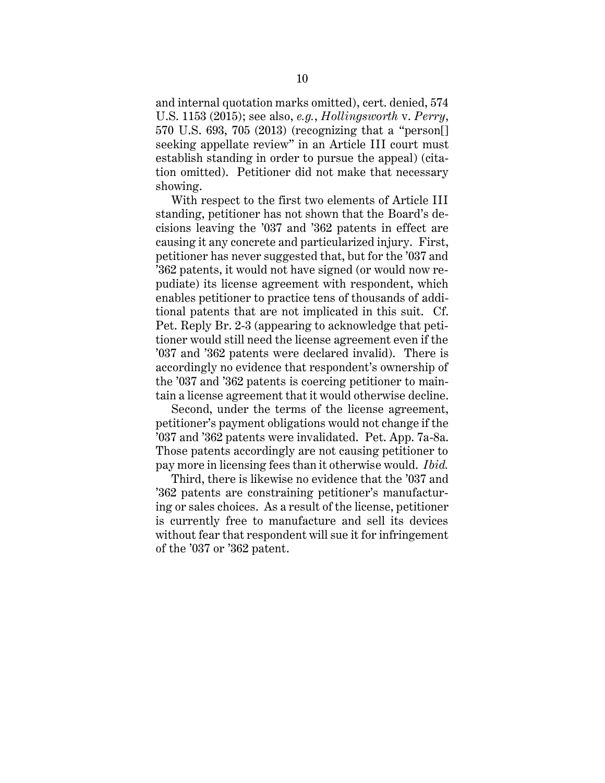and internal quotation marks omitted), cert. denied, 574 U.S. 1153 (2015); see also, *e.g.*, *Hollingsworth* v. *Perry*, 570 U.S. 693, 705 (2013) (recognizing that a "person[] seeking appellate review" in an Article III court must establish standing in order to pursue the appeal) (citation omitted). Petitioner did not make that necessary showing.

With respect to the first two elements of Article III standing, petitioner has not shown that the Board's decisions leaving the '037 and '362 patents in effect are causing it any concrete and particularized injury. First, petitioner has never suggested that, but for the '037 and '362 patents, it would not have signed (or would now repudiate) its license agreement with respondent, which enables petitioner to practice tens of thousands of additional patents that are not implicated in this suit. Cf. Pet. Reply Br. 2-3 (appearing to acknowledge that petitioner would still need the license agreement even if the '037 and '362 patents were declared invalid). There is accordingly no evidence that respondent's ownership of the '037 and '362 patents is coercing petitioner to maintain a license agreement that it would otherwise decline.

Second, under the terms of the license agreement, petitioner's payment obligations would not change if the '037 and '362 patents were invalidated. Pet. App. 7a-8a. Those patents accordingly are not causing petitioner to pay more in licensing fees than it otherwise would. *Ibid.*

Third, there is likewise no evidence that the '037 and '362 patents are constraining petitioner's manufacturing or sales choices. As a result of the license, petitioner is currently free to manufacture and sell its devices without fear that respondent will sue it for infringement of the '037 or '362 patent.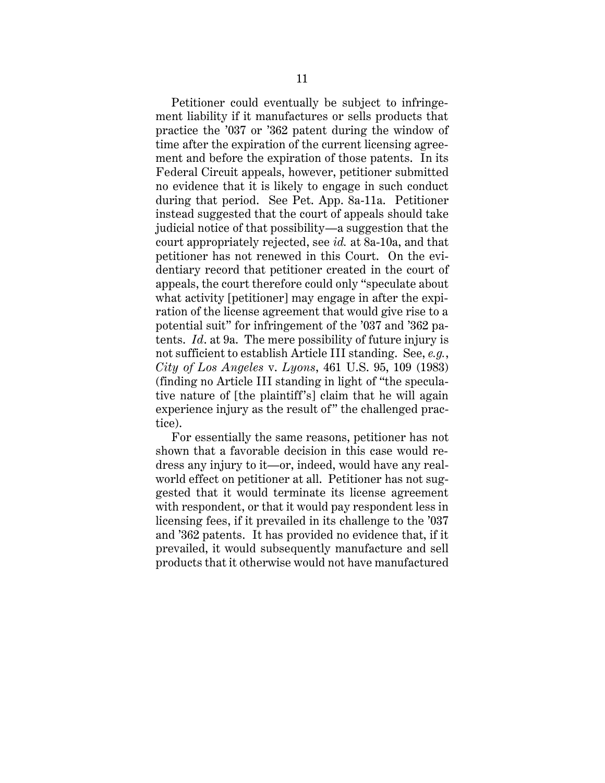Petitioner could eventually be subject to infringement liability if it manufactures or sells products that practice the '037 or '362 patent during the window of time after the expiration of the current licensing agreement and before the expiration of those patents. In its Federal Circuit appeals, however, petitioner submitted no evidence that it is likely to engage in such conduct during that period. See Pet. App. 8a-11a. Petitioner instead suggested that the court of appeals should take judicial notice of that possibility—a suggestion that the court appropriately rejected, see *id.* at 8a-10a, and that petitioner has not renewed in this Court. On the evidentiary record that petitioner created in the court of appeals, the court therefore could only "speculate about what activity [petitioner] may engage in after the expiration of the license agreement that would give rise to a potential suit" for infringement of the '037 and '362 patents. *Id*. at 9a. The mere possibility of future injury is not sufficient to establish Article III standing. See, *e.g.*, *City of Los Angeles* v. *Lyons*, 461 U.S. 95, 109 (1983) (finding no Article III standing in light of "the speculative nature of [the plaintiff's] claim that he will again experience injury as the result of" the challenged practice).

For essentially the same reasons, petitioner has not shown that a favorable decision in this case would redress any injury to it—or, indeed, would have any realworld effect on petitioner at all. Petitioner has not suggested that it would terminate its license agreement with respondent, or that it would pay respondent less in licensing fees, if it prevailed in its challenge to the '037 and '362 patents. It has provided no evidence that, if it prevailed, it would subsequently manufacture and sell products that it otherwise would not have manufactured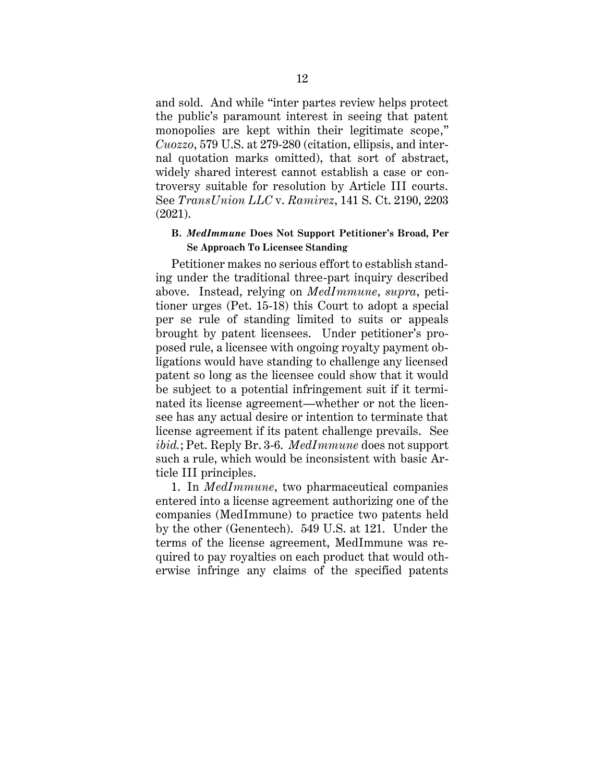and sold. And while "inter partes review helps protect the public's paramount interest in seeing that patent monopolies are kept within their legitimate scope," *Cuozzo*, 579 U.S. at 279-280 (citation, ellipsis, and internal quotation marks omitted), that sort of abstract, widely shared interest cannot establish a case or controversy suitable for resolution by Article III courts. See *TransUnion LLC* v. *Ramirez*, 141 S. Ct. 2190, 2203 (2021).

#### <span id="page-16-0"></span>**B.** *MedImmune* **Does Not Support Petitioner's Broad, Per Se Approach To Licensee Standing**

Petitioner makes no serious effort to establish standing under the traditional three-part inquiry described above. Instead, relying on *MedImmune*, *supra*, petitioner urges (Pet. 15-18) this Court to adopt a special per se rule of standing limited to suits or appeals brought by patent licensees. Under petitioner's proposed rule, a licensee with ongoing royalty payment obligations would have standing to challenge any licensed patent so long as the licensee could show that it would be subject to a potential infringement suit if it terminated its license agreement—whether or not the licensee has any actual desire or intention to terminate that license agreement if its patent challenge prevails. See *ibid.*; Pet. Reply Br. 3-6. *MedImmune* does not support such a rule, which would be inconsistent with basic Article III principles.

1. In *MedImmune*, two pharmaceutical companies entered into a license agreement authorizing one of the companies (MedImmune) to practice two patents held by the other (Genentech). 549 U.S. at 121. Under the terms of the license agreement, MedImmune was required to pay royalties on each product that would otherwise infringe any claims of the specified patents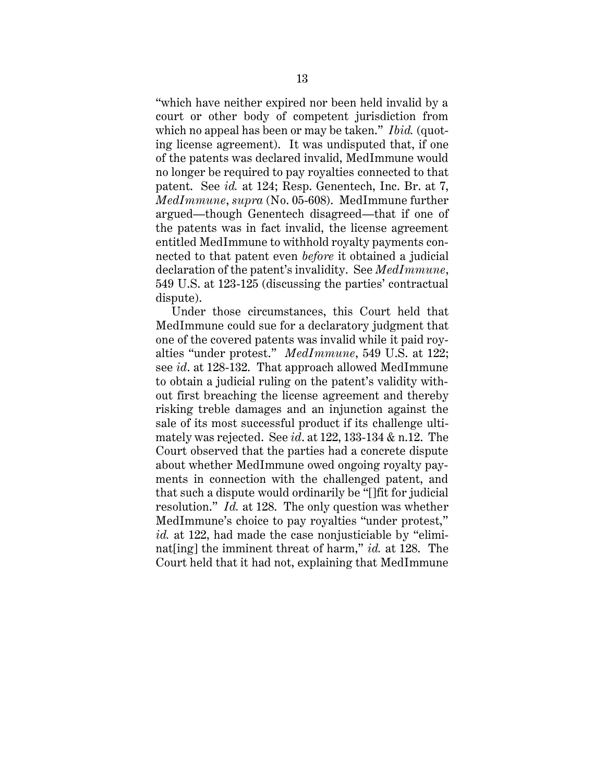"which have neither expired nor been held invalid by a court or other body of competent jurisdiction from which no appeal has been or may be taken." *Ibid.* (quoting license agreement). It was undisputed that, if one of the patents was declared invalid, MedImmune would no longer be required to pay royalties connected to that patent. See *id.* at 124; Resp. Genentech, Inc. Br. at 7, *MedImmune*, *supra* (No. 05-608). MedImmune further argued—though Genentech disagreed—that if one of the patents was in fact invalid, the license agreement entitled MedImmune to withhold royalty payments connected to that patent even *before* it obtained a judicial declaration of the patent's invalidity. See *MedImmune*, 549 U.S. at 123-125 (discussing the parties' contractual dispute).

Under those circumstances, this Court held that MedImmune could sue for a declaratory judgment that one of the covered patents was invalid while it paid royalties "under protest." *MedImmune*, 549 U.S. at 122; see *id*. at 128-132. That approach allowed MedImmune to obtain a judicial ruling on the patent's validity without first breaching the license agreement and thereby risking treble damages and an injunction against the sale of its most successful product if its challenge ultimately was rejected. See *id*. at 122, 133-134 & n.12. The Court observed that the parties had a concrete dispute about whether MedImmune owed ongoing royalty payments in connection with the challenged patent, and that such a dispute would ordinarily be "[]fit for judicial resolution." *Id.* at 128. The only question was whether MedImmune's choice to pay royalties "under protest," *id.* at 122, had made the case nonjusticiable by "eliminat[ing] the imminent threat of harm," *id.* at 128. The Court held that it had not, explaining that MedImmune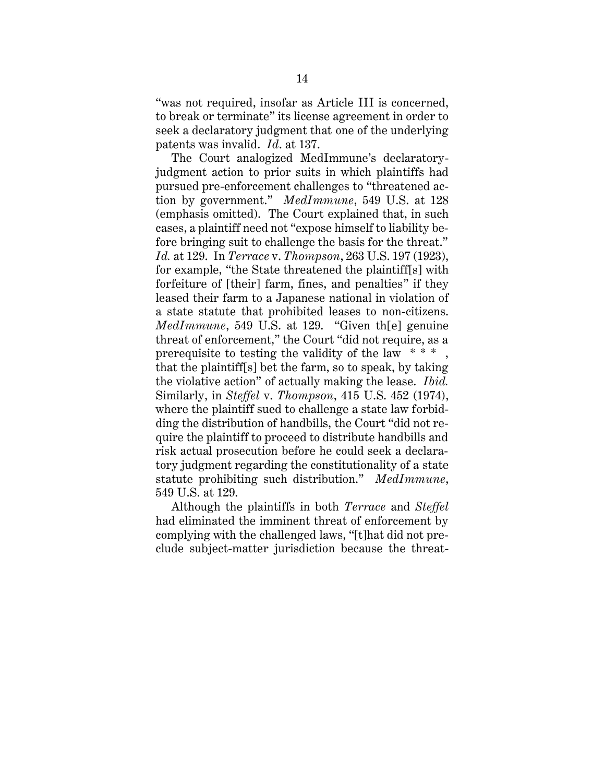"was not required, insofar as Article III is concerned, to break or terminate" its license agreement in order to seek a declaratory judgment that one of the underlying patents was invalid. *Id*. at 137.

The Court analogized MedImmune's declaratoryjudgment action to prior suits in which plaintiffs had pursued pre-enforcement challenges to "threatened action by government." *MedImmune*, 549 U.S. at 128 (emphasis omitted). The Court explained that, in such cases, a plaintiff need not "expose himself to liability before bringing suit to challenge the basis for the threat." *Id.* at 129. In *Terrace* v. *Thompson*, 263 U.S. 197 (1923), for example, "the State threatened the plaintiff[s] with forfeiture of [their] farm, fines, and penalties" if they leased their farm to a Japanese national in violation of a state statute that prohibited leases to non-citizens. *MedImmune*, 549 U.S. at 129. "Given th[e] genuine threat of enforcement," the Court "did not require, as a prerequisite to testing the validity of the law  $* * *$ that the plaintiff[s] bet the farm, so to speak, by taking the violative action" of actually making the lease. *Ibid.* Similarly, in *Steffel* v. *Thompson*, 415 U.S. 452 (1974), where the plaintiff sued to challenge a state law forbidding the distribution of handbills, the Court "did not require the plaintiff to proceed to distribute handbills and risk actual prosecution before he could seek a declaratory judgment regarding the constitutionality of a state statute prohibiting such distribution." *MedImmune*, 549 U.S. at 129.

Although the plaintiffs in both *Terrace* and *Steffel* had eliminated the imminent threat of enforcement by complying with the challenged laws, "[t]hat did not preclude subject-matter jurisdiction because the threat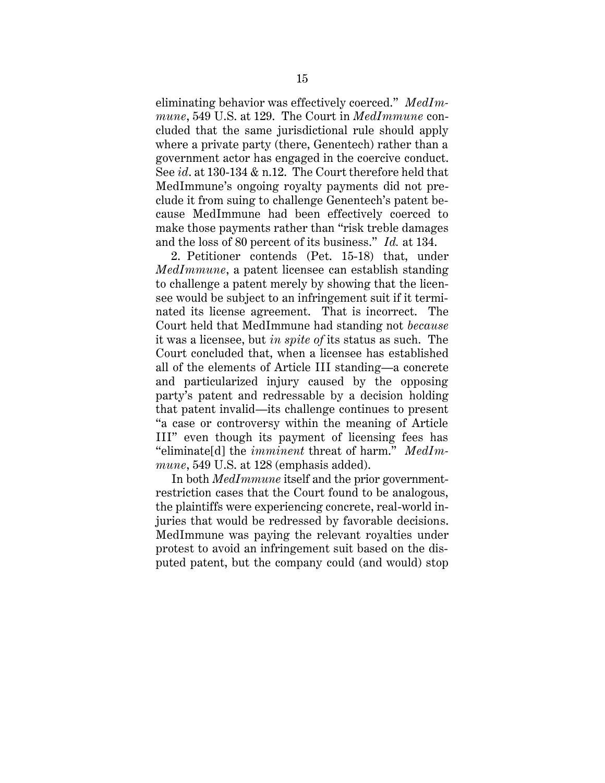eliminating behavior was effectively coerced." *MedImmune*, 549 U.S. at 129. The Court in *MedImmune* concluded that the same jurisdictional rule should apply where a private party (there, Genentech) rather than a government actor has engaged in the coercive conduct. See *id*. at 130-134 & n.12. The Court therefore held that MedImmune's ongoing royalty payments did not preclude it from suing to challenge Genentech's patent because MedImmune had been effectively coerced to make those payments rather than "risk treble damages and the loss of 80 percent of its business." *Id.* at 134.

2. Petitioner contends (Pet. 15-18) that, under *MedImmune*, a patent licensee can establish standing to challenge a patent merely by showing that the licensee would be subject to an infringement suit if it terminated its license agreement. That is incorrect. The Court held that MedImmune had standing not *because* it was a licensee, but *in spite of* its status as such. The Court concluded that, when a licensee has established all of the elements of Article III standing—a concrete and particularized injury caused by the opposing party's patent and redressable by a decision holding that patent invalid—its challenge continues to present "a case or controversy within the meaning of Article III" even though its payment of licensing fees has "eliminate[d] the *imminent* threat of harm." *MedImmune*, 549 U.S. at 128 (emphasis added).

In both *MedImmune* itself and the prior governmentrestriction cases that the Court found to be analogous, the plaintiffs were experiencing concrete, real-world injuries that would be redressed by favorable decisions. MedImmune was paying the relevant royalties under protest to avoid an infringement suit based on the disputed patent, but the company could (and would) stop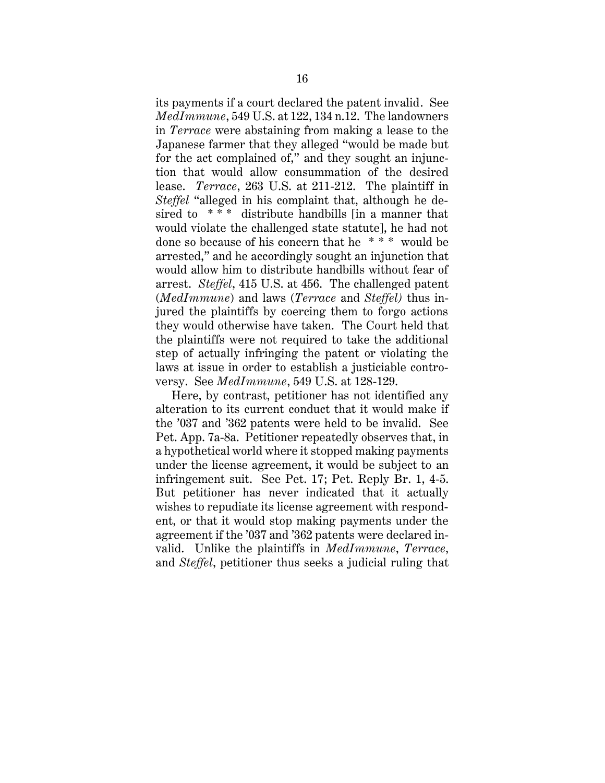its payments if a court declared the patent invalid. See *MedImmune*, 549 U.S. at 122, 134 n.12. The landowners in *Terrace* were abstaining from making a lease to the Japanese farmer that they alleged "would be made but for the act complained of," and they sought an injunction that would allow consummation of the desired lease. *Terrace*, 263 U.S. at 211-212. The plaintiff in *Steffel* "alleged in his complaint that, although he desired to  $***$  distribute handbills [in a manner that would violate the challenged state statute], he had not done so because of his concern that he \* \* \* would be arrested," and he accordingly sought an injunction that would allow him to distribute handbills without fear of arrest. *Steffel*, 415 U.S. at 456. The challenged patent (*MedImmune*) and laws (*Terrace* and *Steffel)* thus injured the plaintiffs by coercing them to forgo actions they would otherwise have taken. The Court held that the plaintiffs were not required to take the additional step of actually infringing the patent or violating the laws at issue in order to establish a justiciable controversy. See *MedImmune*, 549 U.S. at 128-129.

Here, by contrast, petitioner has not identified any alteration to its current conduct that it would make if the '037 and '362 patents were held to be invalid. See Pet. App. 7a-8a. Petitioner repeatedly observes that, in a hypothetical world where it stopped making payments under the license agreement, it would be subject to an infringement suit. See Pet. 17; Pet. Reply Br. 1, 4-5. But petitioner has never indicated that it actually wishes to repudiate its license agreement with respondent, or that it would stop making payments under the agreement if the '037 and '362 patents were declared invalid. Unlike the plaintiffs in *MedImmune*, *Terrace*, and *Steffel*, petitioner thus seeks a judicial ruling that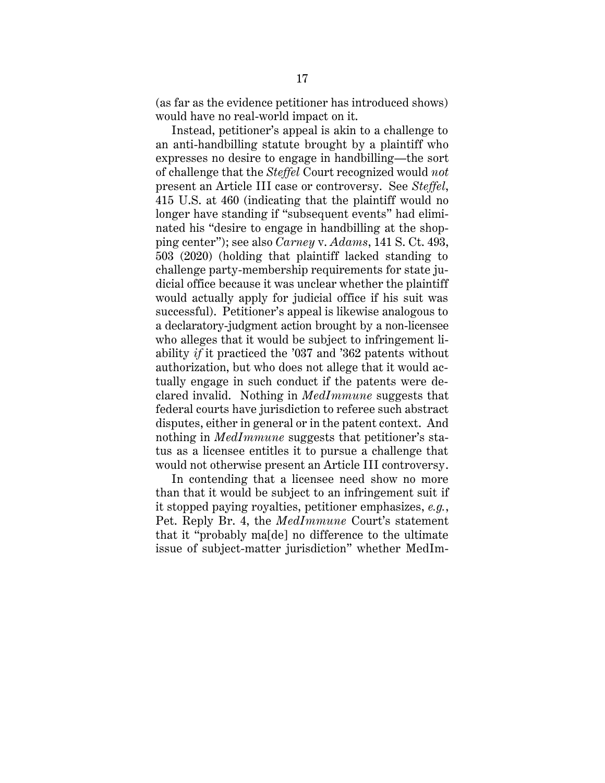(as far as the evidence petitioner has introduced shows) would have no real-world impact on it.

Instead, petitioner's appeal is akin to a challenge to an anti-handbilling statute brought by a plaintiff who expresses no desire to engage in handbilling—the sort of challenge that the *Steffel* Court recognized would *not* present an Article III case or controversy. See *Steffel*, 415 U.S. at 460 (indicating that the plaintiff would no longer have standing if "subsequent events" had eliminated his "desire to engage in handbilling at the shopping center"); see also *Carney* v. *Adams*, 141 S. Ct. 493, 503 (2020) (holding that plaintiff lacked standing to challenge party-membership requirements for state judicial office because it was unclear whether the plaintiff would actually apply for judicial office if his suit was successful). Petitioner's appeal is likewise analogous to a declaratory-judgment action brought by a non-licensee who alleges that it would be subject to infringement liability *if* it practiced the '037 and '362 patents without authorization, but who does not allege that it would actually engage in such conduct if the patents were declared invalid. Nothing in *MedImmune* suggests that federal courts have jurisdiction to referee such abstract disputes, either in general or in the patent context. And nothing in *MedImmune* suggests that petitioner's status as a licensee entitles it to pursue a challenge that would not otherwise present an Article III controversy.

In contending that a licensee need show no more than that it would be subject to an infringement suit if it stopped paying royalties, petitioner emphasizes, *e.g.*, Pet. Reply Br. 4, the *MedImmune* Court's statement that it "probably ma[de] no difference to the ultimate issue of subject-matter jurisdiction" whether MedIm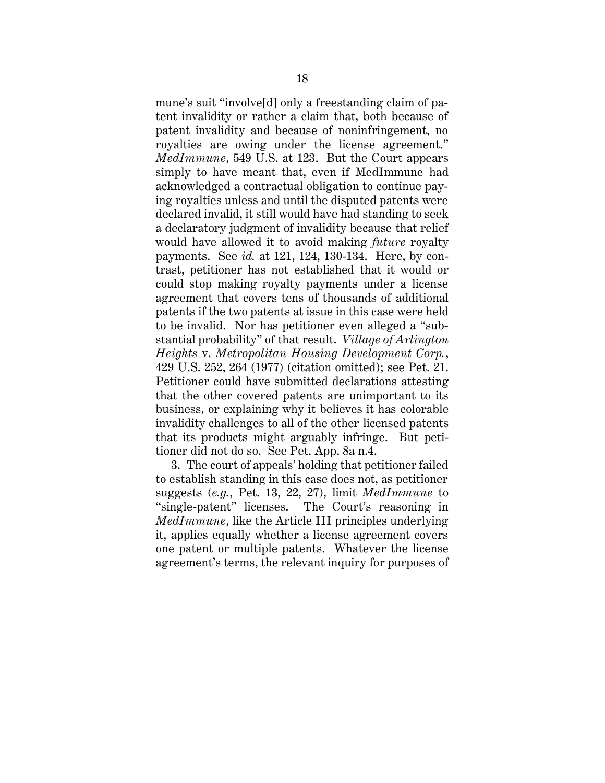mune's suit "involve[d] only a freestanding claim of patent invalidity or rather a claim that, both because of patent invalidity and because of noninfringement, no royalties are owing under the license agreement." *MedImmune*, 549 U.S. at 123. But the Court appears simply to have meant that, even if MedImmune had acknowledged a contractual obligation to continue paying royalties unless and until the disputed patents were declared invalid, it still would have had standing to seek a declaratory judgment of invalidity because that relief would have allowed it to avoid making *future* royalty payments. See *id.* at 121, 124, 130-134. Here, by contrast, petitioner has not established that it would or could stop making royalty payments under a license agreement that covers tens of thousands of additional patents if the two patents at issue in this case were held to be invalid. Nor has petitioner even alleged a "substantial probability" of that result. *Village of Arlington Heights* v. *Metropolitan Housing Development Corp.*, 429 U.S. 252, 264 (1977) (citation omitted); see Pet. 21. Petitioner could have submitted declarations attesting that the other covered patents are unimportant to its business, or explaining why it believes it has colorable invalidity challenges to all of the other licensed patents that its products might arguably infringe. But petitioner did not do so. See Pet. App. 8a n.4.

3. The court of appeals' holding that petitioner failed to establish standing in this case does not, as petitioner suggests (*e.g.*, Pet. 13, 22, 27), limit *MedImmune* to "single-patent" licenses. The Court's reasoning in *MedImmune*, like the Article III principles underlying it, applies equally whether a license agreement covers one patent or multiple patents. Whatever the license agreement's terms, the relevant inquiry for purposes of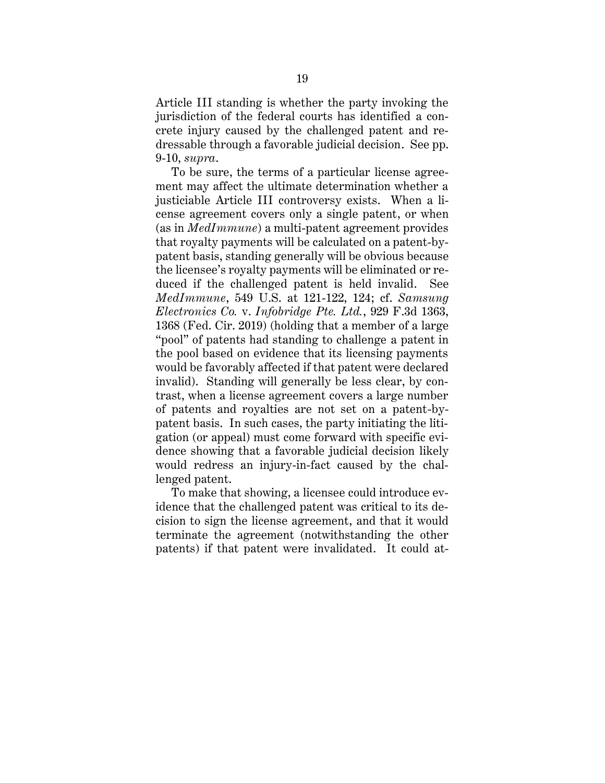Article III standing is whether the party invoking the jurisdiction of the federal courts has identified a concrete injury caused by the challenged patent and redressable through a favorable judicial decision. See pp. 9-10, *supra*.

To be sure, the terms of a particular license agreement may affect the ultimate determination whether a justiciable Article III controversy exists. When a license agreement covers only a single patent, or when (as in *MedImmune*) a multi-patent agreement provides that royalty payments will be calculated on a patent-bypatent basis, standing generally will be obvious because the licensee's royalty payments will be eliminated or reduced if the challenged patent is held invalid. See *MedImmune*, 549 U.S. at 121-122, 124; cf. *Samsung Electronics Co.* v. *Infobridge Pte. Ltd.*, 929 F.3d 1363, 1368 (Fed. Cir. 2019) (holding that a member of a large "pool" of patents had standing to challenge a patent in the pool based on evidence that its licensing payments would be favorably affected if that patent were declared invalid). Standing will generally be less clear, by contrast, when a license agreement covers a large number of patents and royalties are not set on a patent-bypatent basis. In such cases, the party initiating the litigation (or appeal) must come forward with specific evidence showing that a favorable judicial decision likely would redress an injury-in-fact caused by the challenged patent.

To make that showing, a licensee could introduce evidence that the challenged patent was critical to its decision to sign the license agreement, and that it would terminate the agreement (notwithstanding the other patents) if that patent were invalidated. It could at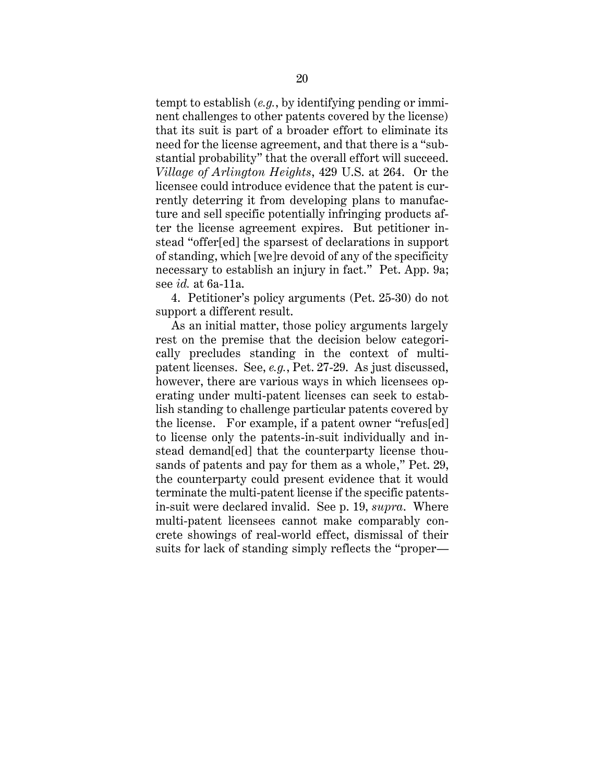tempt to establish (*e.g.*, by identifying pending or imminent challenges to other patents covered by the license) that its suit is part of a broader effort to eliminate its need for the license agreement, and that there is a "substantial probability" that the overall effort will succeed. *Village of Arlington Heights*, 429 U.S. at 264. Or the licensee could introduce evidence that the patent is currently deterring it from developing plans to manufacture and sell specific potentially infringing products after the license agreement expires. But petitioner instead "offer[ed] the sparsest of declarations in support of standing, which [we]re devoid of any of the specificity necessary to establish an injury in fact." Pet. App. 9a; see *id.* at 6a-11a.

4. Petitioner's policy arguments (Pet. 25-30) do not support a different result.

As an initial matter, those policy arguments largely rest on the premise that the decision below categorically precludes standing in the context of multipatent licenses. See, *e.g.*, Pet. 27-29. As just discussed, however, there are various ways in which licensees operating under multi-patent licenses can seek to establish standing to challenge particular patents covered by the license. For example, if a patent owner "refus[ed] to license only the patents-in-suit individually and instead demand[ed] that the counterparty license thousands of patents and pay for them as a whole," Pet. 29, the counterparty could present evidence that it would terminate the multi-patent license if the specific patentsin-suit were declared invalid. See p. 19, *supra*. Where multi-patent licensees cannot make comparably concrete showings of real-world effect, dismissal of their suits for lack of standing simply reflects the "proper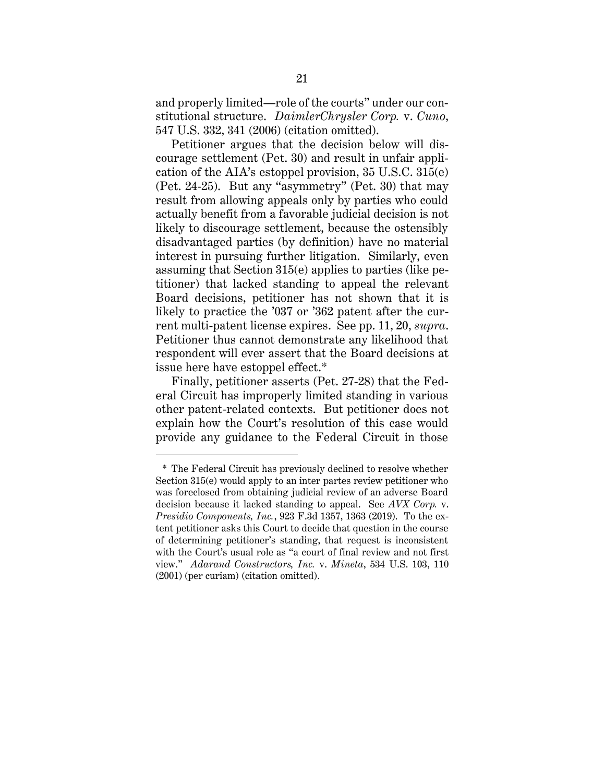and properly limited—role of the courts" under our constitutional structure. *DaimlerChrysler Corp.* v. *Cuno*, 547 U.S. 332, 341 (2006) (citation omitted).

Petitioner argues that the decision below will discourage settlement (Pet. 30) and result in unfair application of the AIA's estoppel provision, 35 U.S.C. 315(e) (Pet. 24-25). But any "asymmetry" (Pet. 30) that may result from allowing appeals only by parties who could actually benefit from a favorable judicial decision is not likely to discourage settlement, because the ostensibly disadvantaged parties (by definition) have no material interest in pursuing further litigation. Similarly, even assuming that Section 315(e) applies to parties (like petitioner) that lacked standing to appeal the relevant Board decisions, petitioner has not shown that it is likely to practice the '037 or '362 patent after the current multi-patent license expires. See pp. 11, 20, *supra*. Petitioner thus cannot demonstrate any likelihood that respondent will ever assert that the Board decisions at issue here have estoppel effect.\*

Finally, petitioner asserts (Pet. 27-28) that the Federal Circuit has improperly limited standing in various other patent-related contexts. But petitioner does not explain how the Court's resolution of this case would provide any guidance to the Federal Circuit in those

<sup>\*</sup> The Federal Circuit has previously declined to resolve whether Section 315(e) would apply to an inter partes review petitioner who was foreclosed from obtaining judicial review of an adverse Board decision because it lacked standing to appeal. See *AVX Corp.* v. *Presidio Components, Inc.*, 923 F.3d 1357, 1363 (2019). To the extent petitioner asks this Court to decide that question in the course of determining petitioner's standing, that request is inconsistent with the Court's usual role as "a court of final review and not first view." *Adarand Constructors, Inc.* v. *Mineta*, 534 U.S. 103, 110 (2001) (per curiam) (citation omitted).